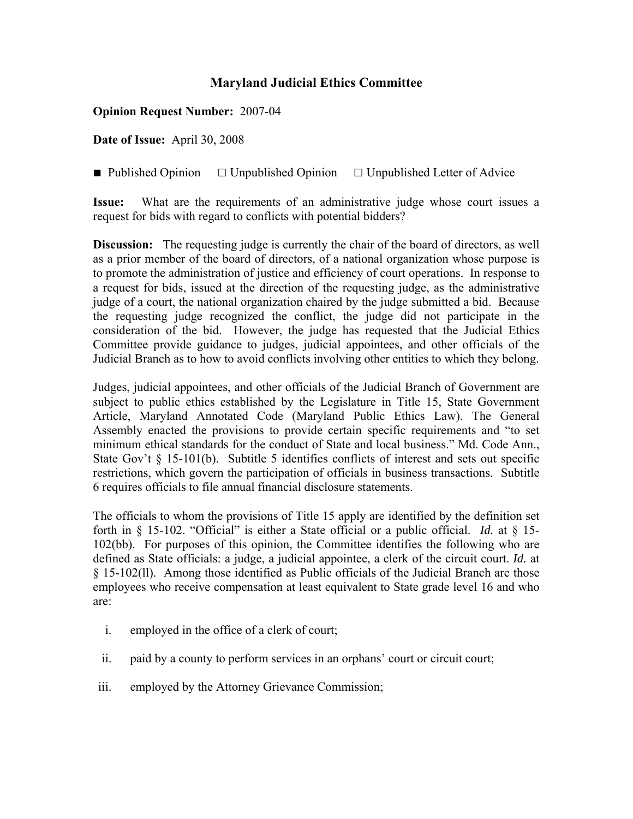## **Maryland Judicial Ethics Committee**

**Opinion Request Number:** 2007-04

**Date of Issue:** April 30, 2008

■ Published Opinion □ Unpublished Opinion □ Unpublished Letter of Advice

**Issue:** What are the requirements of an administrative judge whose court issues a request for bids with regard to conflicts with potential bidders?

**Discussion:** The requesting judge is currently the chair of the board of directors, as well as a prior member of the board of directors, of a national organization whose purpose is to promote the administration of justice and efficiency of court operations. In response to a request for bids, issued at the direction of the requesting judge, as the administrative judge of a court, the national organization chaired by the judge submitted a bid. Because the requesting judge recognized the conflict, the judge did not participate in the consideration of the bid. However, the judge has requested that the Judicial Ethics Committee provide guidance to judges, judicial appointees, and other officials of the Judicial Branch as to how to avoid conflicts involving other entities to which they belong.

Judges, judicial appointees, and other officials of the Judicial Branch of Government are subject to public ethics established by the Legislature in Title 15, State Government Article, Maryland Annotated Code (Maryland Public Ethics Law). The General Assembly enacted the provisions to provide certain specific requirements and "to set minimum ethical standards for the conduct of State and local business." Md. Code Ann., State Gov't § 15-101(b). Subtitle 5 identifies conflicts of interest and sets out specific restrictions, which govern the participation of officials in business transactions. Subtitle 6 requires officials to file annual financial disclosure statements.

The officials to whom the provisions of Title 15 apply are identified by the definition set forth in § 15-102. "Official" is either a State official or a public official. *Id.* at § 15- 102(bb). For purposes of this opinion, the Committee identifies the following who are defined as State officials: a judge, a judicial appointee, a clerk of the circuit court. *Id.* at § 15-102(ll). Among those identified as Public officials of the Judicial Branch are those employees who receive compensation at least equivalent to State grade level 16 and who are:

- i. employed in the office of a clerk of court;
- ii. paid by a county to perform services in an orphans' court or circuit court;
- iii. employed by the Attorney Grievance Commission;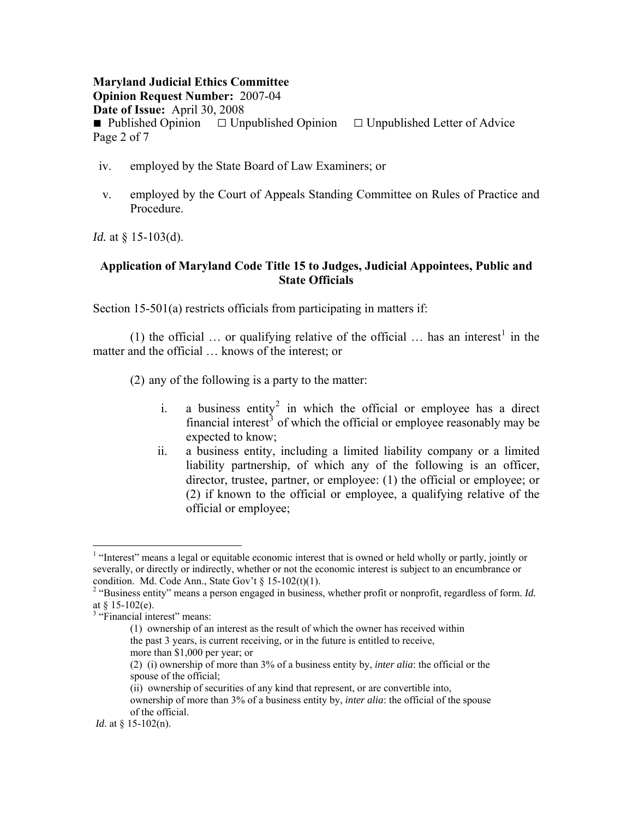### **Maryland Judicial Ethics Committee Opinion Request Number:** 2007-04 **Date of Issue:** April 30, 2008 ■ Published Opinion □ Unpublished Opinion □ Unpublished Letter of Advice Page 2 of 7

- iv. employed by the State Board of Law Examiners; or
- v. employed by the Court of Appeals Standing Committee on Rules of Practice and Procedure.

*Id.* at § 15-103(d).

### **Application of Maryland Code Title 15 to Judges, Judicial Appointees, Public and State Officials**

Section 15-501(a) restricts officials from participating in matters if:

([1](#page-1-0)) the official ... or qualifying relative of the official ... has an interest<sup>1</sup> in the matter and the official … knows of the interest; or

(2) any of the following is a party to the matter:

- i. a business entity<sup>[2](#page-1-1)</sup> in which the official or employee has a direct financial interest<sup>[3](#page-1-2)</sup> of which the official or employee reasonably may be expected to know;
- ii. a business entity, including a limited liability company or a limited liability partnership, of which any of the following is an officer, director, trustee, partner, or employee: (1) the official or employee; or (2) if known to the official or employee, a qualifying relative of the official or employee;

1

more than \$1,000 per year; or

<span id="page-1-0"></span><sup>&</sup>lt;sup>1</sup> "Interest" means a legal or equitable economic interest that is owned or held wholly or partly, jointly or severally, or directly or indirectly, whether or not the economic interest is subject to an encumbrance or condition. Md. Code Ann., State Gov't  $\S 15-102(t)(1)$ .

<span id="page-1-1"></span><sup>&</sup>lt;sup>2</sup> "Business entity" means a person engaged in business, whether profit or nonprofit, regardless of form. *Id.* at  $§$  15-102(e).

<span id="page-1-2"></span><sup>&</sup>lt;sup>3</sup> "Financial interest" means:

 <sup>(1)</sup> ownership of an interest as the result of which the owner has received within the past 3 years, is current receiving, or in the future is entitled to receive,

 <sup>(2) (</sup>i) ownership of more than 3% of a business entity by, *inter alia*: the official or the spouse of the official;

 <sup>(</sup>ii) ownership of securities of any kind that represent, or are convertible into,

ownership of more than 3% of a business entity by, *inter alia*: the official of the spouse of the official.

*Id.* at  $\frac{8}{3}$  15-102(n).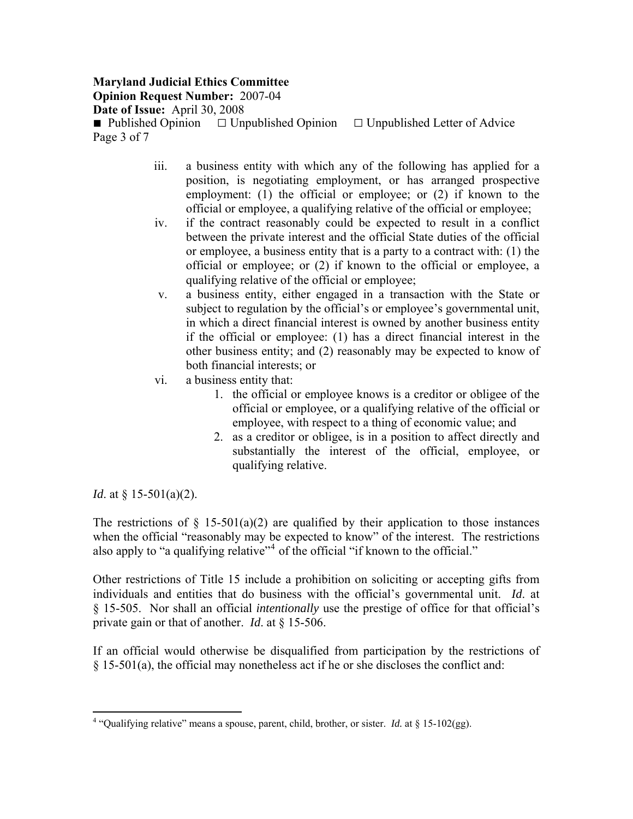### **Maryland Judicial Ethics Committee Opinion Request Number:** 2007-04

**Date of Issue:** April 30, 2008

■ Published Opinion □ Unpublished Opinion □ Unpublished Letter of Advice Page 3 of 7

- iii. a business entity with which any of the following has applied for a position, is negotiating employment, or has arranged prospective employment: (1) the official or employee; or (2) if known to the official or employee, a qualifying relative of the official or employee;
- iv. if the contract reasonably could be expected to result in a conflict between the private interest and the official State duties of the official or employee, a business entity that is a party to a contract with: (1) the official or employee; or (2) if known to the official or employee, a qualifying relative of the official or employee;
- v. a business entity, either engaged in a transaction with the State or subject to regulation by the official's or employee's governmental unit, in which a direct financial interest is owned by another business entity if the official or employee: (1) has a direct financial interest in the other business entity; and (2) reasonably may be expected to know of both financial interests; or
- vi. a business entity that:
	- 1. the official or employee knows is a creditor or obligee of the official or employee, or a qualifying relative of the official or employee, with respect to a thing of economic value; and
	- 2. as a creditor or obligee, is in a position to affect directly and substantially the interest of the official, employee, or qualifying relative.

*Id.* at § 15-501(a)(2).

 $\overline{a}$ 

The restrictions of  $\S$  15-501(a)(2) are qualified by their application to those instances when the official "reasonably may be expected to know" of the interest. The restrictions also apply to "a qualifying relative"<sup>[4](#page-2-0)</sup> of the official "if known to the official."

Other restrictions of Title 15 include a prohibition on soliciting or accepting gifts from individuals and entities that do business with the official's governmental unit. *Id*. at § 15-505. Nor shall an official *intentionally* use the prestige of office for that official's private gain or that of another. *Id*. at § 15-506.

If an official would otherwise be disqualified from participation by the restrictions of § 15-501(a), the official may nonetheless act if he or she discloses the conflict and:

<span id="page-2-0"></span><sup>&</sup>lt;sup>4</sup> "Qualifying relative" means a spouse, parent, child, brother, or sister. *Id.* at  $\S$  15-102(gg).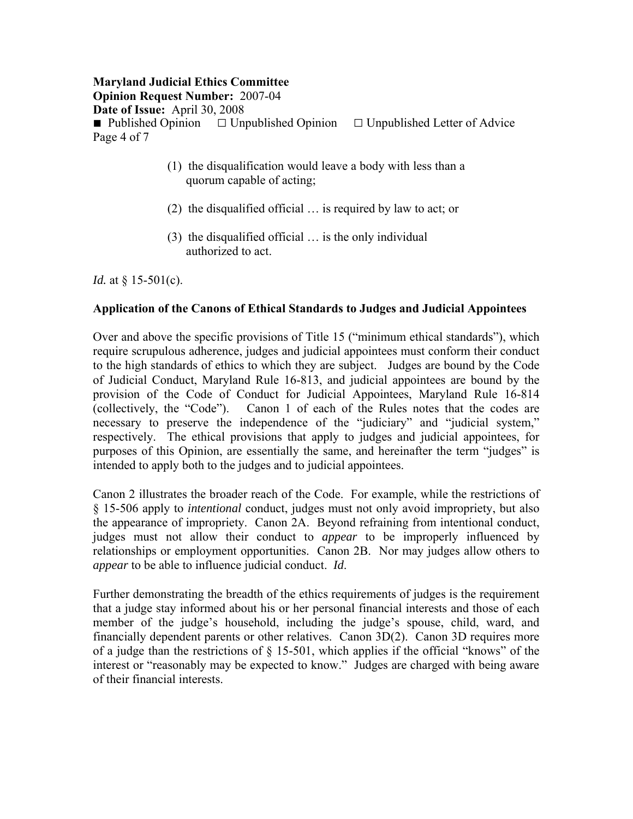# **Maryland Judicial Ethics Committee**

**Opinion Request Number:** 2007-04

**Date of Issue:** April 30, 2008

■ Published Opinion □ Unpublished Opinion □ Unpublished Letter of Advice Page 4 of 7

- (1) the disqualification would leave a body with less than a quorum capable of acting;
- (2) the disqualified official … is required by law to act; or
- (3) the disqualified official … is the only individual authorized to act.

*Id.* at § 15-501(c).

### **Application of the Canons of Ethical Standards to Judges and Judicial Appointees**

Over and above the specific provisions of Title 15 ("minimum ethical standards"), which require scrupulous adherence, judges and judicial appointees must conform their conduct to the high standards of ethics to which they are subject. Judges are bound by the Code of Judicial Conduct, Maryland Rule 16-813, and judicial appointees are bound by the provision of the Code of Conduct for Judicial Appointees, Maryland Rule 16-814 (collectively, the "Code"). Canon 1 of each of the Rules notes that the codes are necessary to preserve the independence of the "judiciary" and "judicial system," respectively. The ethical provisions that apply to judges and judicial appointees, for purposes of this Opinion, are essentially the same, and hereinafter the term "judges" is intended to apply both to the judges and to judicial appointees.

Canon 2 illustrates the broader reach of the Code. For example, while the restrictions of § 15-506 apply to *intentional* conduct, judges must not only avoid impropriety, but also the appearance of impropriety. Canon 2A. Beyond refraining from intentional conduct, judges must not allow their conduct to *appear* to be improperly influenced by relationships or employment opportunities. Canon 2B. Nor may judges allow others to *appear* to be able to influence judicial conduct. *Id*.

Further demonstrating the breadth of the ethics requirements of judges is the requirement that a judge stay informed about his or her personal financial interests and those of each member of the judge's household, including the judge's spouse, child, ward, and financially dependent parents or other relatives. Canon 3D(2). Canon 3D requires more of a judge than the restrictions of § 15-501, which applies if the official "knows" of the interest or "reasonably may be expected to know." Judges are charged with being aware of their financial interests.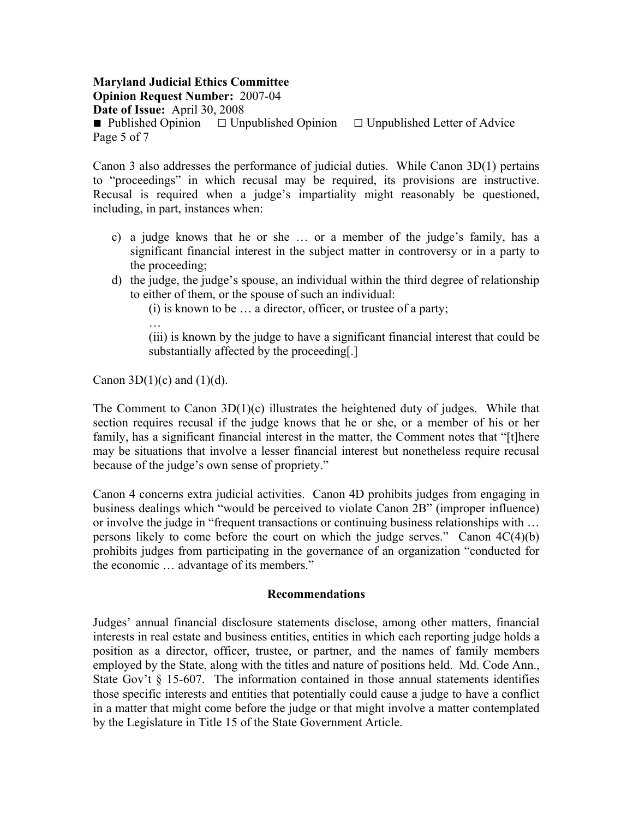**Maryland Judicial Ethics Committee Opinion Request Number:** 2007-04 **Date of Issue:** April 30, 2008 ■ Published Opinion □ Unpublished Opinion □ Unpublished Letter of Advice Page 5 of 7

Canon 3 also addresses the performance of judicial duties. While Canon 3D(1) pertains to "proceedings" in which recusal may be required, its provisions are instructive. Recusal is required when a judge's impartiality might reasonably be questioned, including, in part, instances when:

- c) a judge knows that he or she … or a member of the judge's family, has a significant financial interest in the subject matter in controversy or in a party to the proceeding;
- d) the judge, the judge's spouse, an individual within the third degree of relationship to either of them, or the spouse of such an individual:

(i) is known to be … a director, officer, or trustee of a party;

…

(iii) is known by the judge to have a significant financial interest that could be substantially affected by the proceeding[.]

Canon 3D(1)(c) and (1)(d).

The Comment to Canon  $3D(1)(c)$  illustrates the heightened duty of judges. While that section requires recusal if the judge knows that he or she, or a member of his or her family, has a significant financial interest in the matter, the Comment notes that "[t]here may be situations that involve a lesser financial interest but nonetheless require recusal because of the judge's own sense of propriety."

Canon 4 concerns extra judicial activities. Canon 4D prohibits judges from engaging in business dealings which "would be perceived to violate Canon 2B" (improper influence) or involve the judge in "frequent transactions or continuing business relationships with … persons likely to come before the court on which the judge serves." Canon 4C(4)(b) prohibits judges from participating in the governance of an organization "conducted for the economic … advantage of its members."

### **Recommendations**

Judges' annual financial disclosure statements disclose, among other matters, financial interests in real estate and business entities, entities in which each reporting judge holds a position as a director, officer, trustee, or partner, and the names of family members employed by the State, along with the titles and nature of positions held. Md. Code Ann., State Gov't § 15-607. The information contained in those annual statements identifies those specific interests and entities that potentially could cause a judge to have a conflict in a matter that might come before the judge or that might involve a matter contemplated by the Legislature in Title 15 of the State Government Article.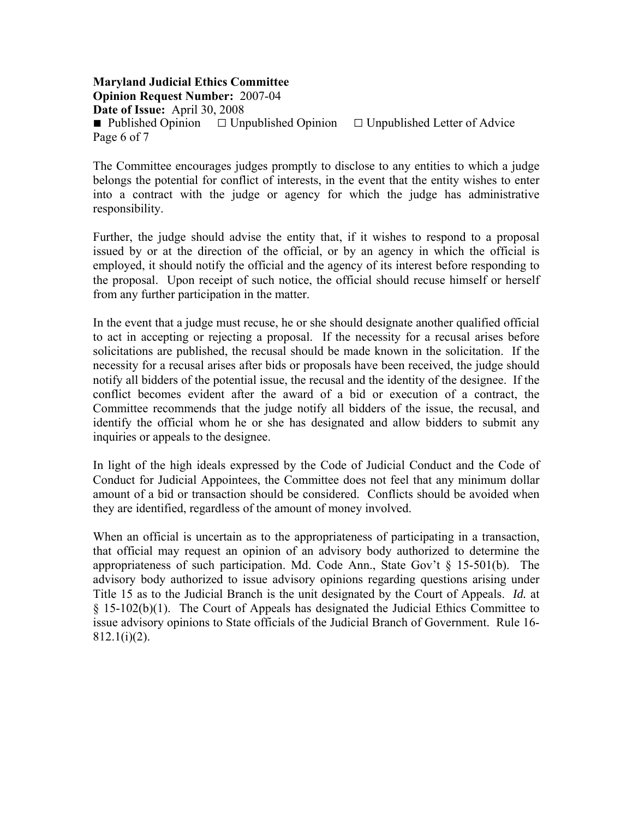**Maryland Judicial Ethics Committee Opinion Request Number:** 2007-04 **Date of Issue:** April 30, 2008 ■ Published Opinion □ Unpublished Opinion □ Unpublished Letter of Advice Page 6 of 7

The Committee encourages judges promptly to disclose to any entities to which a judge belongs the potential for conflict of interests, in the event that the entity wishes to enter into a contract with the judge or agency for which the judge has administrative responsibility.

Further, the judge should advise the entity that, if it wishes to respond to a proposal issued by or at the direction of the official, or by an agency in which the official is employed, it should notify the official and the agency of its interest before responding to the proposal. Upon receipt of such notice, the official should recuse himself or herself from any further participation in the matter.

In the event that a judge must recuse, he or she should designate another qualified official to act in accepting or rejecting a proposal. If the necessity for a recusal arises before solicitations are published, the recusal should be made known in the solicitation. If the necessity for a recusal arises after bids or proposals have been received, the judge should notify all bidders of the potential issue, the recusal and the identity of the designee. If the conflict becomes evident after the award of a bid or execution of a contract, the Committee recommends that the judge notify all bidders of the issue, the recusal, and identify the official whom he or she has designated and allow bidders to submit any inquiries or appeals to the designee.

In light of the high ideals expressed by the Code of Judicial Conduct and the Code of Conduct for Judicial Appointees, the Committee does not feel that any minimum dollar amount of a bid or transaction should be considered. Conflicts should be avoided when they are identified, regardless of the amount of money involved.

When an official is uncertain as to the appropriateness of participating in a transaction, that official may request an opinion of an advisory body authorized to determine the appropriateness of such participation. Md. Code Ann., State Gov't  $\S$  15-501(b). The advisory body authorized to issue advisory opinions regarding questions arising under Title 15 as to the Judicial Branch is the unit designated by the Court of Appeals. *Id.* at § 15-102(b)(1). The Court of Appeals has designated the Judicial Ethics Committee to issue advisory opinions to State officials of the Judicial Branch of Government. Rule 16- 812.1(i)(2).